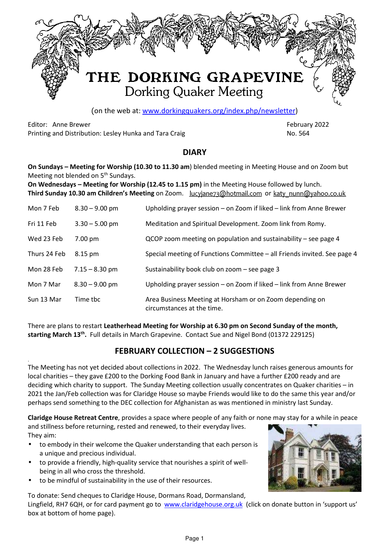

(on the web at: www.dorkingquakers.org/index.php/newsletter)

Editor: Anne Brewer February 2022 Printing and Distribution: Lesley Hunka and Tara Craig No. 2004 1996 1997 No. 564

#### **DIARY**

**On Sundays – Meeting for Worship (10.30 to 11.30 am**) blended meeting in Meeting House and on Zoom but Meeting not blended on 5<sup>th</sup> Sundays.

**On Wednesdays – Meeting for Worship (12.45 to 1.15 pm)** in the Meeting House followed by lunch. **Third Sunday 10.30 am Children's Meeting** on Zoom. lucyjane73@hotmail.com or katy nunn@yahoo.co.uk

| Mon 7 Feb    | $8.30 - 9.00$ pm | Upholding prayer session - on Zoom if liked - link from Anne Brewer                    |
|--------------|------------------|----------------------------------------------------------------------------------------|
| Fri 11 Feb   | $3.30 - 5.00$ pm | Meditation and Spiritual Development. Zoom link from Romy.                             |
| Wed 23 Feb   | 7.00 pm          | QCOP zoom meeting on population and sustainability - see page 4                        |
| Thurs 24 Feb | 8.15 pm          | Special meeting of Functions Committee – all Friends invited. See page 4               |
| Mon 28 Feb   | $7.15 - 8.30$ pm | Sustainability book club on zoom - see page 3                                          |
| Mon 7 Mar    | $8.30 - 9.00$ pm | Upholding prayer session - on Zoom if liked - link from Anne Brewer                    |
| Sun 13 Mar   | Time tbc         | Area Business Meeting at Horsham or on Zoom depending on<br>circumstances at the time. |

There are plans to restart **Leatherhead Meeting for Worship at 6.30 pm on Second Sunday of the month, starting March 13th .** Full details in March Grapevine. Contact Sue and Nigel Bond (01372 229125)

# **FEBRUARY COLLECTION – 2 SUGGESTIONS**

The Meeting has not yet decided about collections in 2022. The Wednesday lunch raises generous amounts for local charities – they gave £200 to the Dorking Food Bank in January and have a further £200 ready and are deciding which charity to support. The Sunday Meeting collection usually concentrates on Quaker charities – in 2021 the Jan/Feb collection was for Claridge House so maybe Friends would like to do the same this year and/or perhaps send something to the DEC collection for Afghanistan as was mentioned in ministry last Sunday.

**Claridge House Retreat Centre**, provides a space where people of any faith or none may stay for a while in peace

and stillness before returning, rested and renewed, to their everyday lives. They aim:

- to embody in their welcome the Quaker understanding that each person is a unique and precious individual.
- to provide a friendly, high-quality service that nourishes a spirit of wellbeing in all who cross the threshold.
- to be mindful of sustainability in the use of their resources.

.

To donate: Send cheques to Claridge House, Dormans Road, Dormansland, Lingfield, RH7 6QH, or for card payment go to www.claridgehouse.org.uk (click on donate button in 'support us' box at bottom of home page).

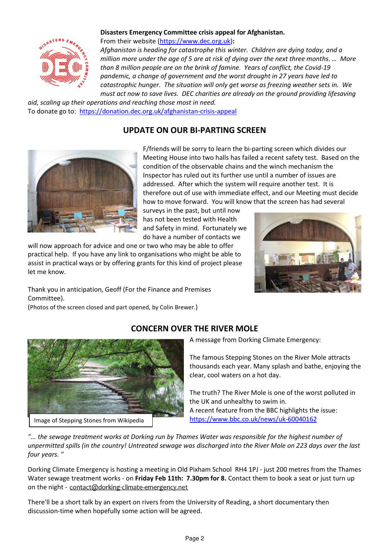

#### **Disasters Emergency Committee crisis appeal for Afghanistan.**

From their website (https://www.dec.org.uk)**:** 

*Afghanistan is heading for catastrophe this winter. Children are dying today, and a million more under the age of 5 are at risk of dying over the next three months. … More than 8 million people are on the brink of famine. Years of conflict, the Covid-19 pandemic, a change of government and the worst drought in 27 years have led to catastrophic hunger. The situation will only get worse as freezing weather sets in. We must act now to save lives. DEC charities are already on the ground providing lifesaving* 

*aid, scaling up their operations and reaching those most in need.* To donate go to: https://donation.dec.org.uk/afghanistan-crisis-appeal

# **UPDATE ON OUR BI-PARTING SCREEN**



F/friends will be sorry to learn the bi-parting screen which divides our Meeting House into two halls has failed a recent safety test. Based on the condition of the observable chains and the winch mechanism the Inspector has ruled out its further use until a number of issues are addressed. After which the system will require another test. It is therefore out of use with immediate effect, and our Meeting must decide how to move forward. You will know that the screen has had several

surveys in the past, but until now has not been tested with Health and Safety in mind. Fortunately we do have a number of contacts we

will now approach for advice and one or two who may be able to offer practical help. If you have any link to organisations who might be able to assist in practical ways or by offering grants for this kind of project please let me know.



Thank you in anticipation, Geoff (For the Finance and Premises Committee).

(Photos of the screen closed and part opened, by Colin Brewer.)



# **CONCERN OVER THE RIVER MOLE**

A message from Dorking Climate Emergency:

The famous Stepping Stones on the River Mole attracts thousands each year. Many splash and bathe, enjoying the clear, cool waters on a hot day.

The truth? The River Mole is one of the worst polluted in the UK and unhealthy to swim in. A recent feature from the BBC highlights the issue: https://www.bbc.co.uk/news/uk-60040162

*"... the sewage treatment works at Dorking run by Thames Water was responsible for the highest number of unpermitted spills (in the country! Untreated sewage was discharged into the River Mole on 223 days over the last four years. "* 

Dorking Climate Emergency is hosting a meeting in Old Pixham School RH4 1PJ - just 200 metres from the Thames Water sewage treatment works - on **Friday Feb 11th: 7.30pm for 8.** Contact them to book a seat or just turn up on the night - contact@dorking-climate-emergency.net

There'll be a short talk by an expert on rivers from the University of Reading, a short documentary then discussion-time when hopefully some action will be agreed.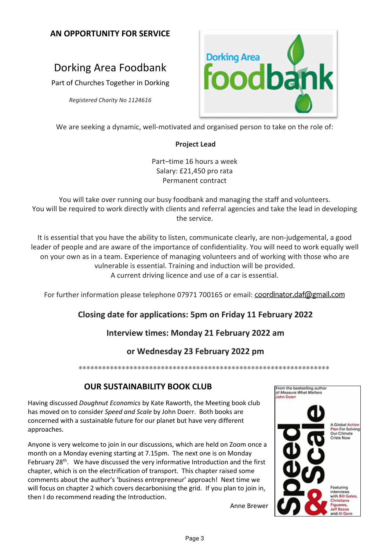## **AN OPPORTUNITY FOR SERVICE**

# Dorking Area Foodbank

Part of Churches Together in Dorking

*Registered Charity No 1124616*



We are seeking a dynamic, well-motivated and organised person to take on the role of:

#### **Project Lead**

Part–time 16 hours a week Salary: £21,450 pro rata Permanent contract

You will take over running our busy foodbank and managing the staff and volunteers. You will be required to work directly with clients and referral agencies and take the lead in developing the service.

It is essential that you have the ability to listen, communicate clearly, are non-judgemental, a good leader of people and are aware of the importance of confidentiality. You will need to work equally well on your own as in a team. Experience of managing volunteers and of working with those who are vulnerable is essential. Training and induction will be provided. A current driving licence and use of a car is essential.

For further information please telephone 07971 700165 or email: coordinator.daf@gmail.com

# **Closing date for applications: 5pm on Friday 11 February 2022**

# **Interview times: Monday 21 February 2022 am**

#### **or Wednesday 23 February 2022 pm**

\*\*\*\*\*\*\*\*\*\*\*\*\*\*\*\*\*\*\*\*\*\*\*\*\*\*\*\*\*\*\*\*\*\*\*\*\*\*\*\*\*\*\*\*\*\*\*\*\*\*\*\*\*\*\*\*\*\*\*\*\*\*\*\*

#### **OUR SUSTAINABILITY BOOK CLUB**

Having discussed *Doughnut Economics* by Kate Raworth, the Meeting book club has moved on to consider *Speed and Scale* by John Doerr. Both books are concerned with a sustainable future for our planet but have very different approaches.

Anyone is very welcome to join in our discussions, which are held on Zoom once a month on a Monday evening starting at 7.15pm. The next one is on Monday February  $28<sup>th</sup>$ . We have discussed the very informative Introduction and the first chapter, which is on the electrification of transport. This chapter raised some comments about the author's 'business entrepreneur' approach! Next time we will focus on chapter 2 which covers decarbonising the grid. If you plan to join in, then I do recommend reading the Introduction.



Anne Brewer